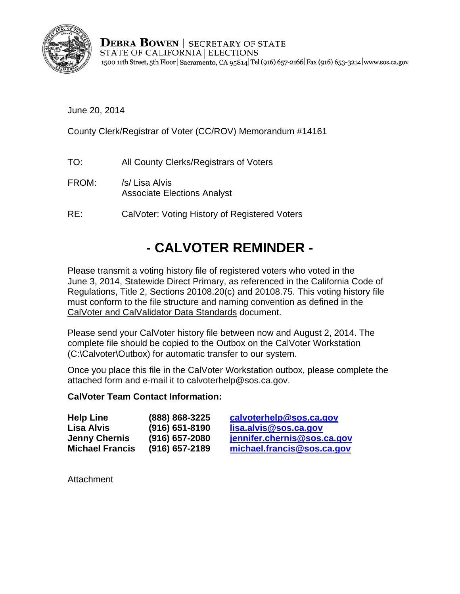

**DEBRA BOWEN** SECRETARY OF STATE STATE OF CALIFORNIA | ELECTIONS 1500 11th Street, 5th Floor | Sacramento, CA 95814 Tel (916) 657-2166 | Fax (916) 653-3214 | www.sos.ca.gov

June 20, 2014

County Clerk/Registrar of Voter (CC/ROV) Memorandum #14161

- TO: All County Clerks/Registrars of Voters
- FROM: /s/ Lisa Alvis Associate Elections Analyst
- RE: CalVoter: Voting History of Registered Voters

## **- - CALVOTER REMINDER**

Please transmit a voting history file of registered voters who voted in the June 3, 2014, Statewide Direct Primary, as referenced in the California Code of Regulations, Title 2, Sections 20108.20(c) and 20108.75. This voting history file must conform to the file structure and naming convention as defined in the CalVoter and CalValidator Data Standards document.

Please send your CalVoter history file between now and August 2, 2014. The complete file should be copied to the Outbox on the CalVoter Workstation (C:\Calvoter\Outbox) for automatic transfer to our system.

Once you place this file in the CalVoter Workstation outbox, please complete the attached form and e-mail it to calvoterhelp@sos.ca.gov.

## **CalVoter Team Contact Information:**

| <b>Help Line</b>       | (888) 868-3225   | calv  |
|------------------------|------------------|-------|
| <b>Lisa Alvis</b>      | (916) 651-8190   | lisa. |
| <b>Jenny Chernis</b>   | $(916)$ 657-2080 | jenn  |
| <b>Michael Francis</b> | $(916)$ 657-2189 | micl  |

**help @sos.ca.gov Lalvis@sos.ca.gov**  $\delta$ **ifer.chernis@sos.ca.gov Michael Francis (916) 657-2189 michael.francis@sos.ca.gov** 

**Attachment**